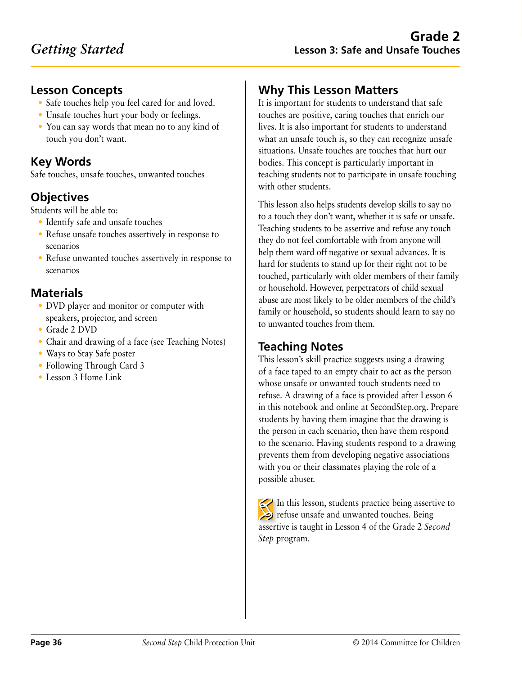### **Lesson Concepts**

- Safe touches help you feel cared for and loved.
- Unsafe touches hurt your body or feelings.
- You can say words that mean no to any kind of touch you don't want.

## **Key Words**

Safe touches, unsafe touches, unwanted touches

# **Objectives**

Students will be able to:

- Identify safe and unsafe touches
- Refuse unsafe touches assertively in response to scenarios
- Refuse unwanted touches assertively in response to scenarios

### **Materials**

- DVD player and monitor or computer with speakers, projector, and screen
- Grade 2 DVD
- Chair and drawing of a face (see Teaching Notes)
- Ways to Stay Safe poster
- Following Through Card 3
- Lesson 3 Home Link

# **Why This Lesson Matters**

It is important for students to understand that safe touches are positive, caring touches that enrich our lives. It is also important for students to understand what an unsafe touch is, so they can recognize unsafe situations. Unsafe touches are touches that hurt our bodies. This concept is particularly important in teaching students not to participate in unsafe touching with other students.

This lesson also helps students develop skills to say no to a touch they don't want, whether it is safe or unsafe. Teaching students to be assertive and refuse any touch they do not feel comfortable with from anyone will help them ward off negative or sexual advances. It is hard for students to stand up for their right not to be touched, particularly with older members of their family or household. However, perpetrators of child sexual abuse are most likely to be older members of the child's family or household, so students should learn to say no to unwanted touches from them.

# **Teaching Notes**

This lesson's skill practice suggests using a drawing of a face taped to an empty chair to act as the person whose unsafe or unwanted touch students need to refuse. A drawing of a face is provided after Lesson 6 in this notebook and online at SecondStep.org. Prepare students by having them imagine that the drawing is the person in each scenario, then have them respond to the scenario. Having students respond to a drawing prevents them from developing negative associations with you or their classmates playing the role of a possible abuser.

In this lesson, students practice being assertive to **Positive** refuse unsafe and unwanted touches. Being assertive is taught in Lesson 4 of the Grade 2 *Second Step* program.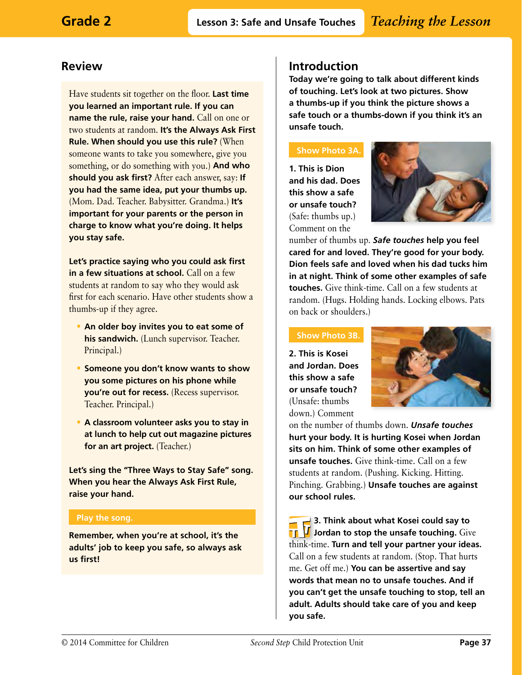### **Review**

Have students sit together on the floor. **Last time you learned an important rule. If you can name the rule, raise your hand.** Call on one or two students at random. **It's the Always Ask First Rule. When should you use this rule?** (When someone wants to take you somewhere, give you something, or do something with you.) **And who should you ask first?** After each answer, say: **If you had the same idea, put your thumbs up.** (Mom. Dad. Teacher. Babysitter. Grandma.) **It's important for your parents or the person in charge to know what you're doing. It helps you stay safe.**

**Let's practice saying who you could ask first in a few situations at school.** Call on a few students at random to say who they would ask first for each scenario. Have other students show a thumbs-up if they agree.

- **An older boy invites you to eat some of his sandwich.** (Lunch supervisor. Teacher. Principal.)
- **Someone you don't know wants to show you some pictures on his phone while you're out for recess.** (Recess supervisor. Teacher. Principal.)
- **A classroom volunteer asks you to stay in at lunch to help cut out magazine pictures for an art project.** (Teacher.)

**Let's sing the "Three Ways to Stay Safe" song. When you hear the Always Ask First Rule, raise your hand.**

#### **Play the song.**

**Remember, when you're at school, it's the adults' job to keep you safe, so always ask us first!**

### **Introduction**

**Today we're going to talk about different kinds of touching. Let's look at two pictures. Show a thumbs-up if you think the picture shows a safe touch or a thumbs-down if you think it's an unsafe touch.**

### **Show Photo 3A.**

**1. This is Dion and his dad. Does this show a safe or unsafe touch?**  (Safe: thumbs up.) Comment on the



number of thumbs up. *Safe touches* **help you feel cared for and loved. They're good for your body. Dion feels safe and loved when his dad tucks him in at night. Think of some other examples of safe touches.** Give think-time. Call on a few students at random. (Hugs. Holding hands. Locking elbows. Pats on back or shoulders.)

#### **Show Photo 3B.**

**2. This is Kosei and Jordan. Does this show a safe or unsafe touch?**  (Unsafe: thumbs down.) Comment



on the number of thumbs down. *Unsafe touches* **hurt your body. It is hurting Kosei when Jordan sits on him. Think of some other examples of unsafe touches.** Give think-time. Call on a few students at random. (Pushing. Kicking. Hitting. Pinching. Grabbing.) **Unsafe touches are against our school rules.**

**3. Think about what Kosei could say to Jub** Jordan to stop the unsafe touching. Give think-time. **Turn and tell your partner your ideas.**  Call on a few students at random. (Stop. That hurts me. Get off me.) **You can be assertive and say words that mean no to unsafe touches. And if you can't get the unsafe touching to stop, tell an adult. Adults should take care of you and keep you safe.**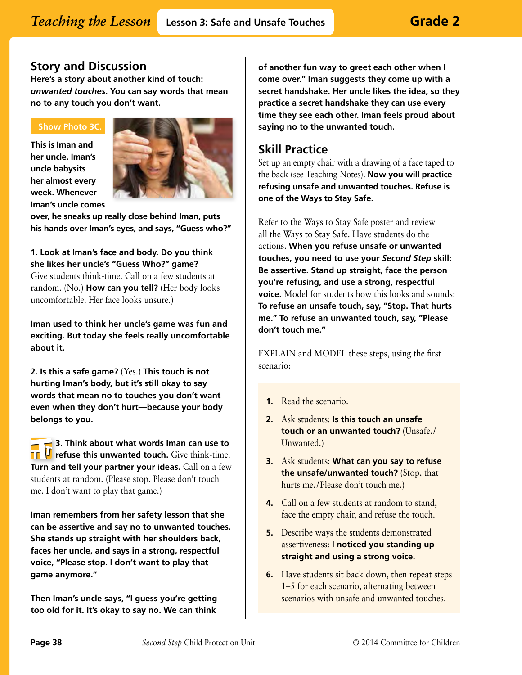### **Story and Discussion**

**Here's a story about another kind of touch:**  *unwanted touches***. You can say words that mean no to any touch you don't want.**

### **Show Photo 3C.**

**This is Iman and her uncle. Iman's uncle babysits her almost every week. Whenever Iman's uncle comes** 



**over, he sneaks up really close behind Iman, puts his hands over Iman's eyes, and says, "Guess who?"** 

**1. Look at Iman's face and body. Do you think she likes her uncle's "Guess Who?" game?**  Give students think-time. Call on a few students at random. (No.) **How can you tell?** (Her body looks uncomfortable. Her face looks unsure.)

**Iman used to think her uncle's game was fun and exciting. But today she feels really uncomfortable about it.** 

**2. Is this a safe game?** (Yes.) **This touch is not hurting Iman's body, but it's still okay to say words that mean no to touches you don't want even when they don't hurt—because your body belongs to you.** 

**3. Think about what words Iman can use to**  *I* refuse this unwanted touch. Give think-time. П **Turn and tell your partner your ideas.** Call on a few students at random. (Please stop. Please don't touch me. I don't want to play that game.)

**Iman remembers from her safety lesson that she can be assertive and say no to unwanted touches. She stands up straight with her shoulders back, faces her uncle, and says in a strong, respectful voice, "Please stop. I don't want to play that game anymore."**

**Then Iman's uncle says, "I guess you're getting too old for it. It's okay to say no. We can think** 

**of another fun way to greet each other when I come over." Iman suggests they come up with a secret handshake. Her uncle likes the idea, so they practice a secret handshake they can use every time they see each other. Iman feels proud about saying no to the unwanted touch.**

### **Skill Practice**

Set up an empty chair with a drawing of a face taped to the back (see Teaching Notes). **Now you will practice refusing unsafe and unwanted touches. Refuse is one of the Ways to Stay Safe.**

Refer to the Ways to Stay Safe poster and review all the Ways to Stay Safe. Have students do the actions. **When you refuse unsafe or unwanted touches, you need to use your** *Second Step* **skill: Be assertive. Stand up straight, face the person you're refusing, and use a strong, respectful voice.** Model for students how this looks and sounds: **To refuse an unsafe touch, say, "Stop. That hurts me." To refuse an unwanted touch, say, "Please don't touch me."**

EXPLAIN and MODEL these steps, using the first scenario:

- **1.** Read the scenario.
- **2.** Ask students: **Is this touch an unsafe touch or an unwanted touch?** (Unsafe./ Unwanted.)
- **3.** Ask students: **What can you say to refuse the unsafe/unwanted touch?** (Stop, that hurts me./Please don't touch me.)
- **4.** Call on a few students at random to stand, face the empty chair, and refuse the touch.
- **5.** Describe ways the students demonstrated assertiveness: **I noticed you standing up straight and using a strong voice.**
- **6.** Have students sit back down, then repeat steps 1–5 for each scenario, alternating between scenarios with unsafe and unwanted touches.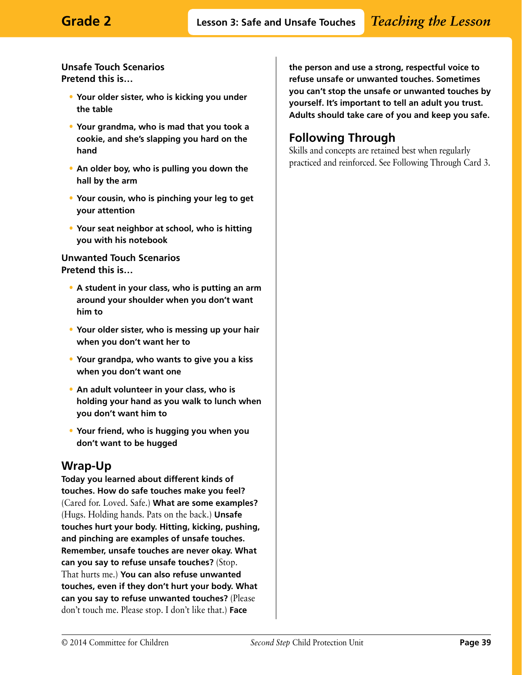**Unsafe Touch Scenarios Pretend this is…**

- **Your older sister, who is kicking you under the table**
- **Your grandma, who is mad that you took a cookie, and she's slapping you hard on the hand**
- **An older boy, who is pulling you down the hall by the arm**
- **Your cousin, who is pinching your leg to get your attention**
- **Your seat neighbor at school, who is hitting you with his notebook**

#### **Unwanted Touch Scenarios Pretend this is…**

- **A student in your class, who is putting an arm around your shoulder when you don't want him to**
- **Your older sister, who is messing up your hair when you don't want her to**
- **Your grandpa, who wants to give you a kiss when you don't want one**
- **An adult volunteer in your class, who is holding your hand as you walk to lunch when you don't want him to**
- **Your friend, who is hugging you when you don't want to be hugged**

### **Wrap-Up**

**Today you learned about different kinds of touches. How do safe touches make you feel?**  (Cared for. Loved. Safe.) **What are some examples?**  (Hugs. Holding hands. Pats on the back.) **Unsafe touches hurt your body. Hitting, kicking, pushing, and pinching are examples of unsafe touches. Remember, unsafe touches are never okay. What can you say to refuse unsafe touches?** (Stop. That hurts me.) **You can also refuse unwanted touches, even if they don't hurt your body. What can you say to refuse unwanted touches?** (Please don't touch me. Please stop. I don't like that.) **Face** 

**the person and use a strong, respectful voice to refuse unsafe or unwanted touches. Sometimes you can't stop the unsafe or unwanted touches by yourself. It's important to tell an adult you trust. Adults should take care of you and keep you safe.** 

# **Following Through**

Skills and concepts are retained best when regularly practiced and reinforced. See Following Through Card 3.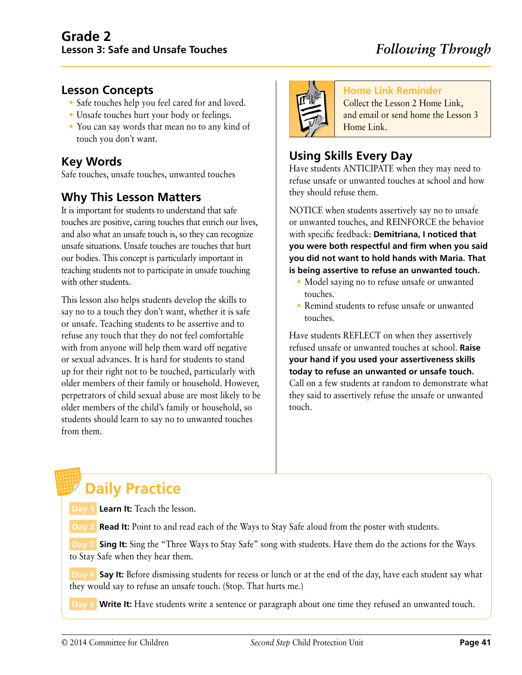### **Lesson Concepts**

- Safe touches help you feel cared for and loved.
- Unsafe touches hurt your body or feelings.
- You can say words that mean no to any kind of touch you don't want.

### **Key Words**

Safe touches, unsafe touches, unwanted touches

### **Why This Lesson Matters**

It is important for students to understand that safe touches are positive, caring touches that enrich our lives, and also what an unsafe touch is, so they can recognize unsafe situations. Unsafe touches are touches that hurt our bodies. This concept is particularly important in teaching students not to participate in unsafe touching with other students.

This lesson also helps students develop the skills to say no to a touch they don't want, whether it is safe or unsafe. Teaching students to be assertive and to refuse any touch that they do not feel comfortable with from anyone will help them ward off negative or sexual advances. It is hard for students to stand up for their right not to be touched, particularly with older members of their family or household. However, perpetrators of child sexual abuse are most likely to be older members of the child's family or household, so students should learn to say no to unwanted touches from them.



### **Home Link Reminder**

Collect the Lesson 2 Home Link, and email or send home the Lesson 3 Home Link.

# **Using Skills Every Day**

Have students ANTICIPATE when they may need to refuse unsafe or unwanted touches at school and how they should refuse them.

NOTICE when students assertively say no to unsafe or unwanted touches, and REINFORCE the behavior with specific feedback: **Demitriana, I noticed that you were both respectful and firm when you said you did not want to hold hands with Maria. That is being assertive to refuse an unwanted touch.**

- Model saying no to refuse unsafe or unwanted touches.
- Remind students to refuse unsafe or unwanted touches.

Have students REFLECT on when they assertively refused unsafe or unwanted touches at school. **Raise your hand if you used your assertiveness skills today to refuse an unwanted or unsafe touch.**  Call on a few students at random to demonstrate what they said to assertively refuse the unsafe or unwanted touch.

# **Daily Practice**

**Day 1 Learn It:** Teach the lesson.

 **Day 2 Read It:** Point to and read each of the Ways to Stay Safe aloud from the poster with students.

**Day 3 Sing It:** Sing the "Three Ways to Stay Safe" song with students. Have them do the actions for the Ways to Stay Safe when they hear them.

**Day 4 Say It:** Before dismissing students for recess or lunch or at the end of the day, have each student say what they would say to refuse an unsafe touch. (Stop. That hurts me.)

**Day 5 Write It:** Have students write a sentence or paragraph about one time they refused an unwanted touch.